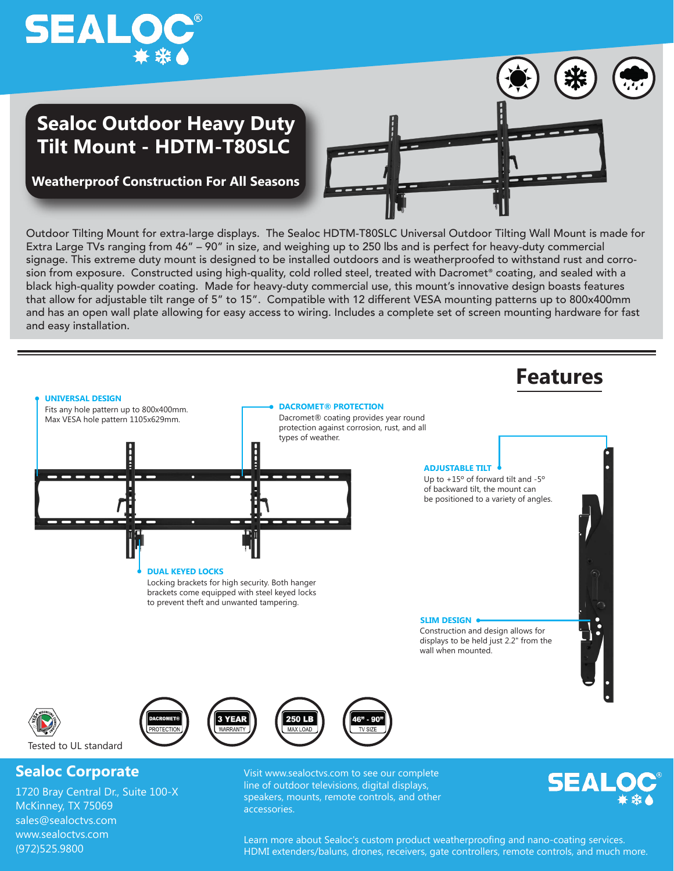

## **Sealoc Outdoor Heavy Duty Tilt Mount - HDTM-T80SLC**



**Weatherproof Construction For All Seasons**

Outdoor Tilting Mount for extra-large displays. The Sealoc HDTM-T80SLC Universal Outdoor Tilting Wall Mount is made for Extra Large TVs ranging from 46" – 90" in size, and weighing up to 250 lbs and is perfect for heavy-duty commercial signage. This extreme duty mount is designed to be installed outdoors and is weatherproofed to withstand rust and corrosion from exposure. Constructed using high-quality, cold rolled steel, treated with Dacromet® coating, and sealed with a black high-quality powder coating. Made for heavy-duty commercial use, this mount's innovative design boasts features that allow for adjustable tilt range of 5" to 15". Compatible with 12 different VESA mounting patterns up to 800x400mm and has an open wall plate allowing for easy access to wiring. Includes a complete set of screen mounting hardware for fast and easy installation.



1720 Bray Central Dr., Suite 100-X McKinney, TX 75069 sales@sealoctvs.com www.sealoctvs.com (972)525.9800

speakers, mounts, remote controls, and other accessories.



Learn more about Sealoc's custom product weatherproofing and nano-coating services. HDMI extenders/baluns, drones, receivers, gate controllers, remote controls, and much more.